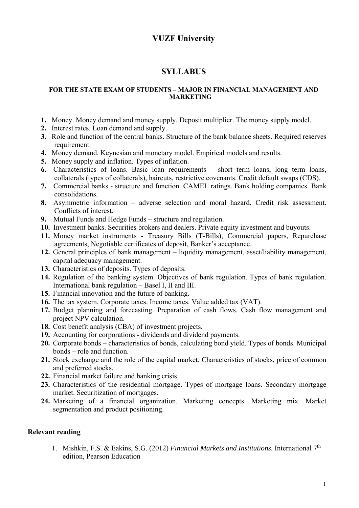## **VUZF University**

## **SYLLABUS**

## **FOR THE STATE EXAM OF STUDENTS – MAJOR IN FINANCIAL MANAGEMENT AND MARKETING**

- **1.** Money. Money demand and money supply. Deposit multiplier. The money supply model.
- **2.** Interest rates. Loan demand and supply.
- **3.** Role and function of the central banks. Structure of the bank balance sheets. Required reserves requirement.
- **4.** Money demand. Keynesian and monetary model. Empirical models and results.
- **5.** Money supply and inflation. Types of inflation.
- **6.** Characteristics of loans. Basic loan requirements short term loans, long term loans, collaterals (types of collaterals), haircuts, restrictive covenants. Credit default swaps (CDS).
- **7.** Commercial banks structure and function. CAMEL ratings. Bank holding companies. Bank consolidations.
- **8.** Asymmetric information adverse selection and moral hazard. Credit risk assessment. Conflicts of interest.
- **9.** Mutual Funds and Hedge Funds structure and regulation.
- **10.** Investment banks. Securities brokers and dealers. Private equity investment and buyouts.
- **11.** Money market instruments Treasury Bills (T-Bills), Commercial papers, Repurchase agreements, Negotiable certificates of deposit, Banker's acceptance.
- **12.** General principles of bank management liquidity management, asset/liability management, capital adequacy management.
- **13.** Characteristics of deposits. Types of deposits.
- **14.** Regulation of the banking system. Objectives of bank regulation. Types of bank regulation. International bank regulation – Basel I, II and III.
- **15.** Financial innovation and the future of banking.
- **16.** The tax system. Corporate taxes. Income taxes. Value added tax (VAT).
- **17.** Budget planning and forecasting. Preparation of cash flows. Cash flow management and project NPV calculation.
- **18.** Cost benefit analysis (CBA) of investment projects.
- 19. Accounting for corporations dividends and dividend payments.
- **20.** Corporate bonds characteristics of bonds, calculating bond yield. Types of bonds. Municipal bonds – role and function.
- **21.** Stock exchange and the role of the capital market. Characteristics of stocks, price of common and preferred stocks.
- **22.** Financial market failure and banking crisis.
- **23.** Characteristics of the residential mortgage. Types of mortgage loans. Secondary mortgage market. Securitization of mortgages.
- **24.** Marketing of a financial organization. Marketing concepts. Marketing mix. Market segmentation and product positioning.

## **Relevant reading**

1. Mishkin, F.S. & Eakins, S.G. (2012) *Financial Markets and Institutions.* International 7th edition, Pearson Education